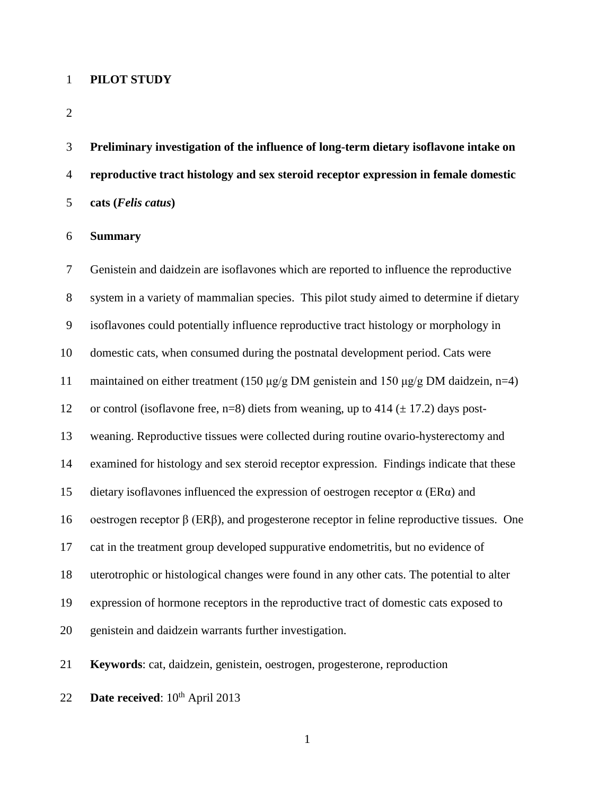### **PILOT STUDY**

 **Preliminary investigation of the influence of long-term dietary isoflavone intake on reproductive tract histology and sex steroid receptor expression in female domestic cats (***Felis catus***)**

**Summary**

 Genistein and daidzein are isoflavones which are reported to influence the reproductive system in a variety of mammalian species. This pilot study aimed to determine if dietary isoflavones could potentially influence reproductive tract histology or morphology in domestic cats, when consumed during the postnatal development period. Cats were maintained on either treatment (150 μg/g DM genistein and 150 μg/g DM daidzein, n=4) 12 or control (isoflavone free, n=8) diets from weaning, up to 414 ( $\pm$  17.2) days post- weaning. Reproductive tissues were collected during routine ovario-hysterectomy and examined for histology and sex steroid receptor expression. Findings indicate that these 15 dietary isoflavones influenced the expression of oestrogen receptor  $\alpha$  (ER $\alpha$ ) and oestrogen receptor β (ERβ), and progesterone receptor in feline reproductive tissues. One cat in the treatment group developed suppurative endometritis, but no evidence of uterotrophic or histological changes were found in any other cats. The potential to alter expression of hormone receptors in the reproductive tract of domestic cats exposed to genistein and daidzein warrants further investigation.

**Keywords**: cat, daidzein, genistein, oestrogen, progesterone, reproduction

22 **Date received**:  $10^{th}$  April 2013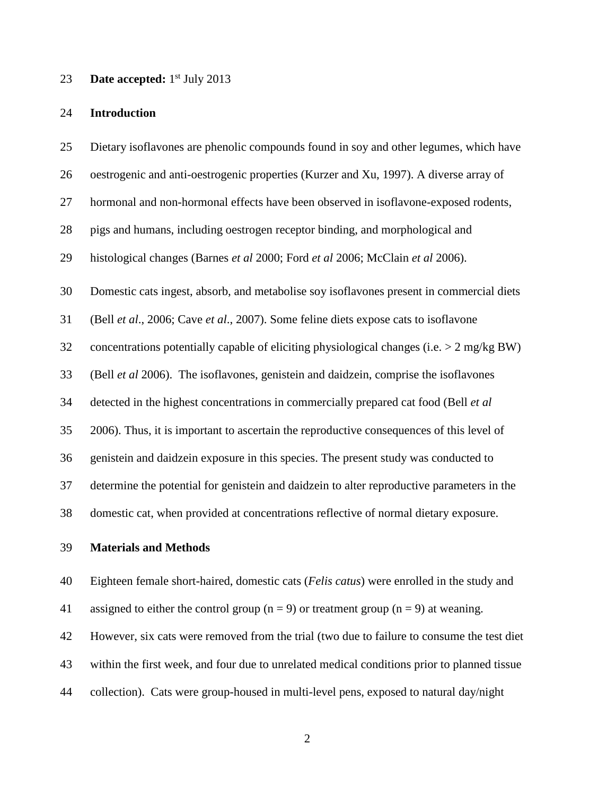### 23 **Date accepted:** 1<sup>st</sup> July 2013

#### **Introduction**

 Dietary isoflavones are phenolic compounds found in soy and other legumes, which have oestrogenic and anti-oestrogenic properties (Kurzer and Xu, 1997). A diverse array of hormonal and non-hormonal effects have been observed in isoflavone-exposed rodents, pigs and humans, including oestrogen receptor binding, and morphological and histological changes (Barnes *et al* 2000; Ford *et al* 2006; McClain *et al* 2006). Domestic cats ingest, absorb, and metabolise soy isoflavones present in commercial diets (Bell *et al*., 2006; Cave *et al*., 2007). Some feline diets expose cats to isoflavone concentrations potentially capable of eliciting physiological changes (i.e. > 2 mg/kg BW) (Bell *et al* 2006). The isoflavones, genistein and daidzein, comprise the isoflavones detected in the highest concentrations in commercially prepared cat food (Bell *et al*  2006). Thus, it is important to ascertain the reproductive consequences of this level of genistein and daidzein exposure in this species. The present study was conducted to determine the potential for genistein and daidzein to alter reproductive parameters in the domestic cat, when provided at concentrations reflective of normal dietary exposure.

## **Materials and Methods**

Eighteen female short-haired, domestic cats (*Felis catus*) were enrolled in the study and

41 assigned to either the control group  $(n = 9)$  or treatment group  $(n = 9)$  at weaning.

However, six cats were removed from the trial (two due to failure to consume the test diet

within the first week, and four due to unrelated medical conditions prior to planned tissue

collection). Cats were group-housed in multi-level pens, exposed to natural day/night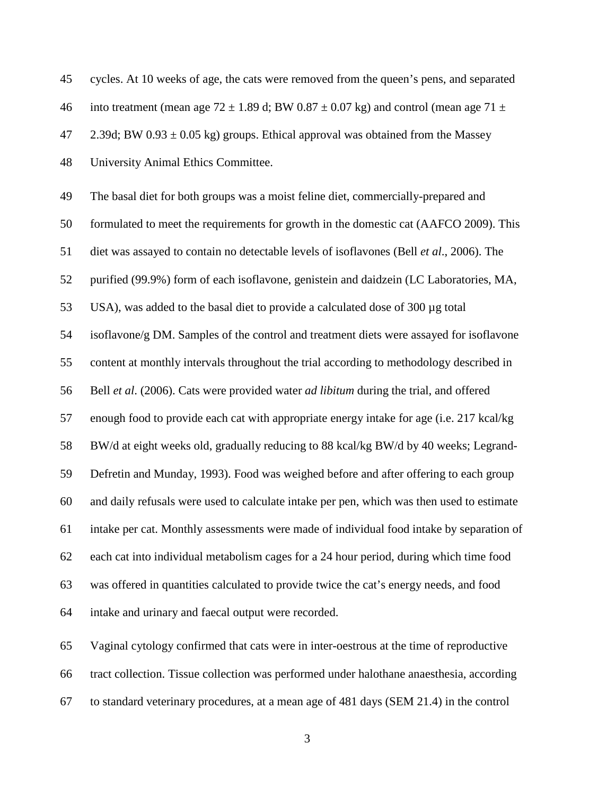| 45 | cycles. At 10 weeks of age, the cats were removed from the queen's pens, and separated          |
|----|-------------------------------------------------------------------------------------------------|
| 46 | into treatment (mean age 72 $\pm$ 1.89 d; BW 0.87 $\pm$ 0.07 kg) and control (mean age 71 $\pm$ |
| 47 | 2.39d; BW $0.93 \pm 0.05$ kg) groups. Ethical approval was obtained from the Massey             |
| 48 | University Animal Ethics Committee.                                                             |
| 49 | The basal diet for both groups was a moist feline diet, commercially-prepared and               |
| 50 | formulated to meet the requirements for growth in the domestic cat (AAFCO 2009). This           |
| 51 | diet was assayed to contain no detectable levels of isoflavones (Bell et al., 2006). The        |
| 52 | purified (99.9%) form of each isoflavone, genistein and daidzein (LC Laboratories, MA,          |
| 53 | USA), was added to the basal diet to provide a calculated dose of 300 µg total                  |
| 54 | isoflavone/g DM. Samples of the control and treatment diets were assayed for isoflavone         |
| 55 | content at monthly intervals throughout the trial according to methodology described in         |
| 56 | Bell et al. (2006). Cats were provided water ad libitum during the trial, and offered           |
| 57 | enough food to provide each cat with appropriate energy intake for age (i.e. 217 kcal/kg)       |
| 58 | BW/d at eight weeks old, gradually reducing to 88 kcal/kg BW/d by 40 weeks; Legrand-            |
| 59 | Defretin and Munday, 1993). Food was weighed before and after offering to each group            |
| 60 | and daily refusals were used to calculate intake per pen, which was then used to estimate       |
| 61 | intake per cat. Monthly assessments were made of individual food intake by separation of        |
| 62 | each cat into individual metabolism cages for a 24 hour period, during which time food          |
| 63 | was offered in quantities calculated to provide twice the cat's energy needs, and food          |
| 64 | intake and urinary and faecal output were recorded.                                             |
| 65 | Vaginal cytology confirmed that cats were in inter-oestrous at the time of reproductive         |
| 66 | tract collection. Tissue collection was performed under halothane anaesthesia, according        |
|    |                                                                                                 |

to standard veterinary procedures, at a mean age of 481 days (SEM 21.4) in the control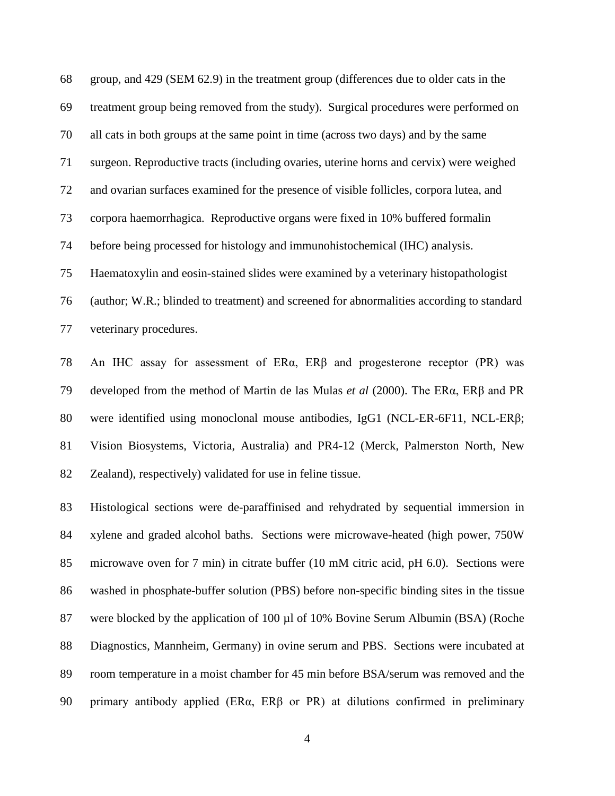group, and 429 (SEM 62.9) in the treatment group (differences due to older cats in the treatment group being removed from the study). Surgical procedures were performed on all cats in both groups at the same point in time (across two days) and by the same surgeon. Reproductive tracts (including ovaries, uterine horns and cervix) were weighed and ovarian surfaces examined for the presence of visible follicles, corpora lutea, and corpora haemorrhagica. Reproductive organs were fixed in 10% buffered formalin before being processed for histology and immunohistochemical (IHC) analysis. Haematoxylin and eosin-stained slides were examined by a veterinary histopathologist (author; W.R.; blinded to treatment) and screened for abnormalities according to standard veterinary procedures.

 An IHC assay for assessment of ERα, ERβ and progesterone receptor (PR) was developed from the method of Martin de las Mulas *et al* (2000). The ERα, ERβ and PR were identified using monoclonal mouse antibodies, IgG1 (NCL-ER-6F11, NCL-ERβ; Vision Biosystems, Victoria, Australia) and PR4-12 (Merck, Palmerston North, New Zealand), respectively) validated for use in feline tissue.

 Histological sections were de-paraffinised and rehydrated by sequential immersion in xylene and graded alcohol baths. Sections were microwave-heated (high power, 750W microwave oven for 7 min) in citrate buffer (10 mM citric acid, pH 6.0). Sections were washed in phosphate-buffer solution (PBS) before non-specific binding sites in the tissue 87 were blocked by the application of 100 µl of 10% Bovine Serum Albumin (BSA) (Roche Diagnostics, Mannheim, Germany) in ovine serum and PBS. Sections were incubated at room temperature in a moist chamber for 45 min before BSA/serum was removed and the primary antibody applied (ERα, ERβ or PR) at dilutions confirmed in preliminary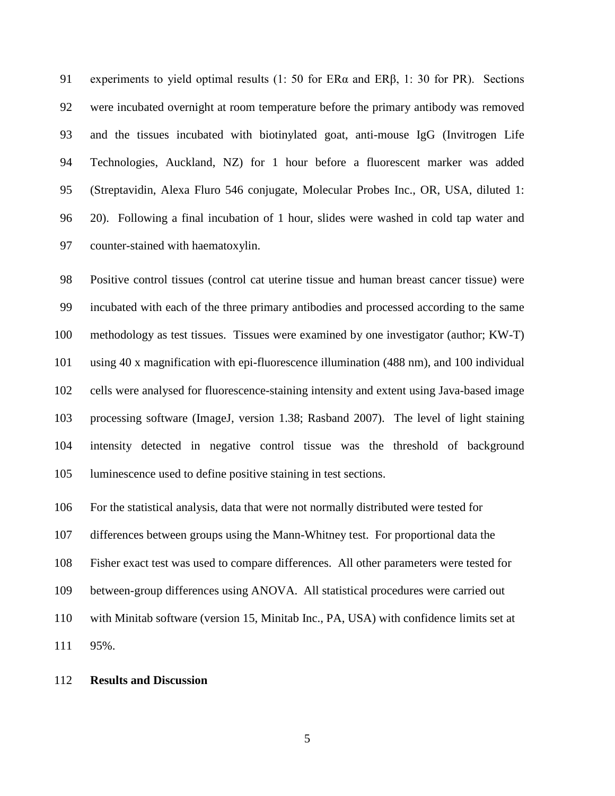experiments to yield optimal results (1: 50 for ERα and ERβ, 1: 30 for PR). Sections were incubated overnight at room temperature before the primary antibody was removed and the tissues incubated with biotinylated goat, anti-mouse IgG (Invitrogen Life Technologies, Auckland, NZ) for 1 hour before a fluorescent marker was added (Streptavidin, Alexa Fluro 546 conjugate, Molecular Probes Inc., OR, USA, diluted 1: 20). Following a final incubation of 1 hour, slides were washed in cold tap water and counter-stained with haematoxylin.

 Positive control tissues (control cat uterine tissue and human breast cancer tissue) were incubated with each of the three primary antibodies and processed according to the same methodology as test tissues. Tissues were examined by one investigator (author; KW-T) using 40 x magnification with epi-fluorescence illumination (488 nm), and 100 individual cells were analysed for fluorescence-staining intensity and extent using Java-based image processing software (ImageJ, version 1.38; Rasband 2007). The level of light staining intensity detected in negative control tissue was the threshold of background luminescence used to define positive staining in test sections.

For the statistical analysis, data that were not normally distributed were tested for

differences between groups using the Mann-Whitney test. For proportional data the

Fisher exact test was used to compare differences. All other parameters were tested for

between-group differences using ANOVA. All statistical procedures were carried out

with Minitab software (version 15, Minitab Inc., PA, USA) with confidence limits set at

95%.

### **Results and Discussion**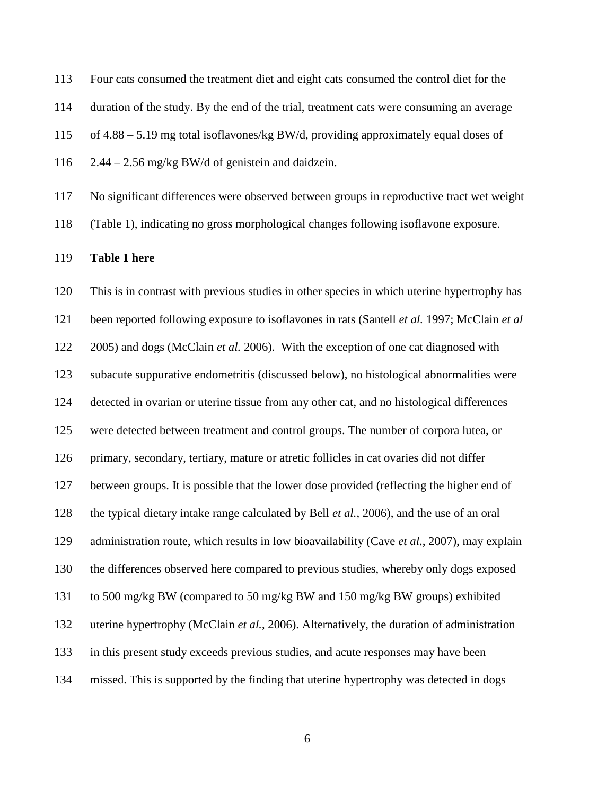Four cats consumed the treatment diet and eight cats consumed the control diet for the duration of the study. By the end of the trial, treatment cats were consuming an average of 4.88 – 5.19 mg total isoflavones/kg BW/d, providing approximately equal doses of  $2.44 - 2.56$  mg/kg BW/d of genistein and daidzein.

No significant differences were observed between groups in reproductive tract wet weight

(Table 1), indicating no gross morphological changes following isoflavone exposure.

#### **Table 1 here**

 This is in contrast with previous studies in other species in which uterine hypertrophy has been reported following exposure to isoflavones in rats (Santell *et al.* 1997; McClain *et al*  2005) and dogs (McClain *et al.* 2006). With the exception of one cat diagnosed with subacute suppurative endometritis (discussed below), no histological abnormalities were detected in ovarian or uterine tissue from any other cat, and no histological differences were detected between treatment and control groups. The number of corpora lutea, or primary, secondary, tertiary, mature or atretic follicles in cat ovaries did not differ between groups. It is possible that the lower dose provided (reflecting the higher end of the typical dietary intake range calculated by Bell *et al.*, 2006), and the use of an oral administration route, which results in low bioavailability (Cave *et al*., 2007), may explain the differences observed here compared to previous studies, whereby only dogs exposed to 500 mg/kg BW (compared to 50 mg/kg BW and 150 mg/kg BW groups) exhibited uterine hypertrophy (McClain *et al.*, 2006). Alternatively, the duration of administration in this present study exceeds previous studies, and acute responses may have been missed. This is supported by the finding that uterine hypertrophy was detected in dogs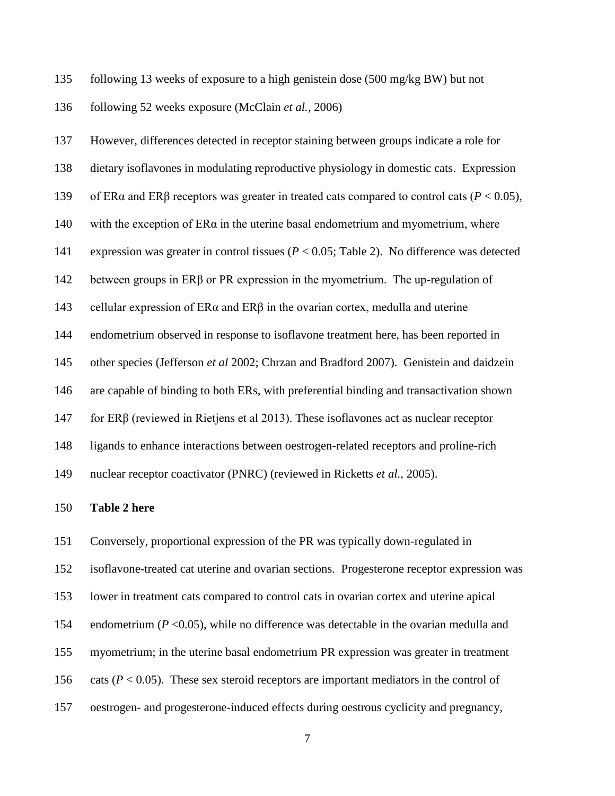following 13 weeks of exposure to a high genistein dose (500 mg/kg BW) but not

following 52 weeks exposure (McClain *et al.*, 2006)

 However, differences detected in receptor staining between groups indicate a role for dietary isoflavones in modulating reproductive physiology in domestic cats. Expression of ERα and ERβ receptors was greater in treated cats compared to control cats (*P* < 0.05), 140 with the exception of  $ER\alpha$  in the uterine basal endometrium and myometrium, where expression was greater in control tissues (*P* < 0.05; Table 2). No difference was detected between groups in ERβ or PR expression in the myometrium. The up-regulation of 143 cellular expression of  $ER\alpha$  and  $ER\beta$  in the ovarian cortex, medulla and uterine endometrium observed in response to isoflavone treatment here, has been reported in other species (Jefferson *et al* 2002; Chrzan and Bradford 2007). Genistein and daidzein are capable of binding to both ERs, with preferential binding and transactivation shown for ERβ (reviewed in Rietjens et al 2013). These isoflavones act as nuclear receptor ligands to enhance interactions between oestrogen-related receptors and proline-rich nuclear receptor coactivator (PNRC) (reviewed in Ricketts *et al.*, 2005).

### **Table 2 here**

Conversely, proportional expression of the PR was typically down-regulated in

isoflavone-treated cat uterine and ovarian sections. Progesterone receptor expression was

lower in treatment cats compared to control cats in ovarian cortex and uterine apical

154 endometrium (*P* <0.05), while no difference was detectable in the ovarian medulla and

myometrium; in the uterine basal endometrium PR expression was greater in treatment

156 cats  $(P < 0.05)$ . These sex steroid receptors are important mediators in the control of

oestrogen- and progesterone-induced effects during oestrous cyclicity and pregnancy,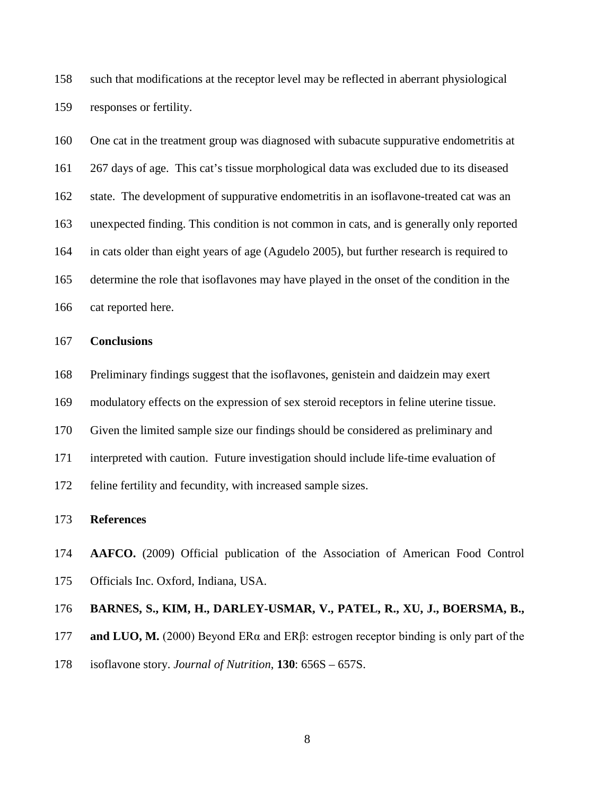such that modifications at the receptor level may be reflected in aberrant physiological responses or fertility.

 One cat in the treatment group was diagnosed with subacute suppurative endometritis at 267 days of age. This cat's tissue morphological data was excluded due to its diseased state. The development of suppurative endometritis in an isoflavone-treated cat was an unexpected finding. This condition is not common in cats, and is generally only reported in cats older than eight years of age (Agudelo 2005), but further research is required to determine the role that isoflavones may have played in the onset of the condition in the cat reported here.

#### **Conclusions**

Preliminary findings suggest that the isoflavones, genistein and daidzein may exert

modulatory effects on the expression of sex steroid receptors in feline uterine tissue.

Given the limited sample size our findings should be considered as preliminary and

interpreted with caution. Future investigation should include life-time evaluation of

feline fertility and fecundity, with increased sample sizes.

## **References**

 **AAFCO.** (2009) Official publication of the Association of American Food Control Officials Inc. Oxford, Indiana, USA.

## **BARNES, S., KIM, H., DARLEY-USMAR, V., PATEL, R., XU, J., BOERSMA, B.,**

**and LUO, M.** (2000) Beyond ERα and ERβ: estrogen receptor binding is only part of the

isoflavone story. *Journal of Nutrition*, **130**: 656S – 657S.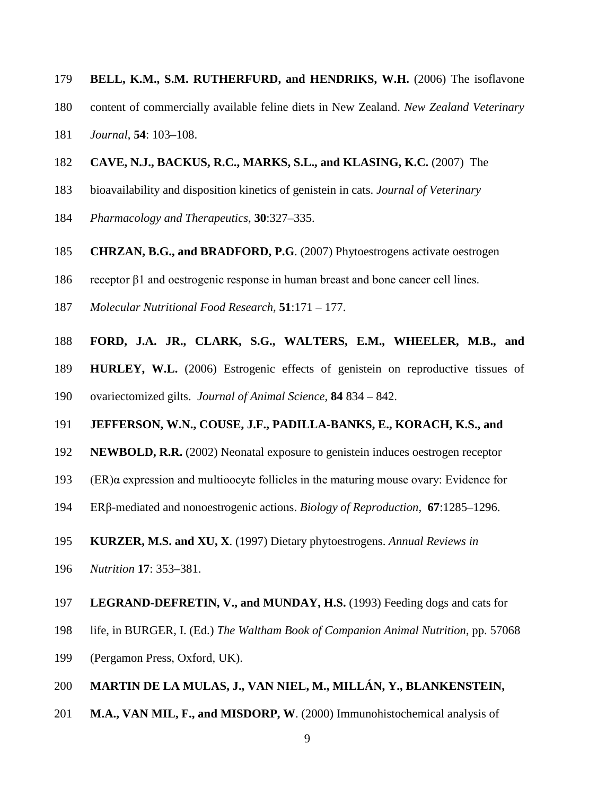- **BELL, K.M., S.M. RUTHERFURD, and HENDRIKS, W.H.** (2006) The isoflavone
- content of commercially available feline diets in New Zealand. *New Zealand Veterinary*
- *Journal*, **54**: 103–108.
- **CAVE, N.J., BACKUS, R.C., MARKS, S.L., and KLASING, K.C.** (2007) The
- bioavailability and disposition kinetics of genistein in cats. *Journal of Veterinary*
- *Pharmacology and Therapeutics*, **30**:327–335.
- **CHRZAN, B.G., and BRADFORD, P.G**. (2007) Phytoestrogens activate oestrogen
- receptor β1 and oestrogenic response in human breast and bone cancer cell lines.
- *Molecular Nutritional Food Research,* **51**:171 177.
- **FORD, J.A. JR., CLARK, S.G., WALTERS, E.M., WHEELER, M.B., and**
- **HURLEY, W.L.** (2006) Estrogenic effects of genistein on reproductive tissues of
- ovariectomized gilts. *Journal of Animal Science*, **84** 834 842.
- **JEFFERSON, W.N., COUSE, J.F., PADILLA-BANKS, E., KORACH, K.S., and**
- **NEWBOLD, R.R.** (2002) Neonatal exposure to genistein induces oestrogen receptor
- 193 (ER) $\alpha$  expression and multioocyte follicles in the maturing mouse ovary: Evidence for
- ERβ-mediated and nonoestrogenic actions. *Biology of Reproduction,* **67**:1285–1296.
- **KURZER, M.S. and XU, X**. (1997) Dietary phytoestrogens. *Annual Reviews in*
- *Nutrition* **17**: 353–381.
- **LEGRAND-DEFRETIN, V., and MUNDAY, H.S.** (1993) Feeding dogs and cats for
- life, in BURGER, I. (Ed.) *The Waltham Book of Companion Animal Nutrition*, pp. 57068
- (Pergamon Press, Oxford, UK).
- **MARTIN DE LA MULAS, J., VAN NIEL, M., MILLÁN, Y., BLANKENSTEIN,**
- **M.A., VAN MIL, F., and MISDORP, W**. (2000) Immunohistochemical analysis of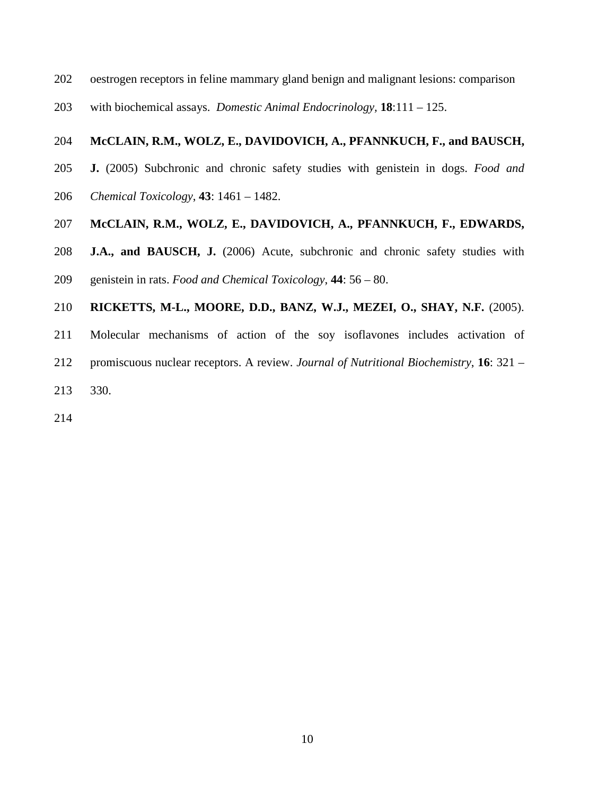- oestrogen receptors in feline mammary gland benign and malignant lesions: comparison
- with biochemical assays. *Domestic Animal Endocrinology,* **18**:111 125.

### **McCLAIN, R.M., WOLZ, E., DAVIDOVICH, A., PFANNKUCH, F., and BAUSCH,**

- **J.** (2005) Subchronic and chronic safety studies with genistein in dogs. *Food and*
- *Chemical Toxicology*, **43**: 1461 1482.

## **McCLAIN, R.M., WOLZ, E., DAVIDOVICH, A., PFANNKUCH, F., EDWARDS,**

**J.A., and BAUSCH, J.** (2006) Acute, subchronic and chronic safety studies with

genistein in rats. *Food and Chemical Toxicology*, **44**: 56 – 80.

# **RICKETTS, M-L., MOORE, D.D., BANZ, W.J., MEZEI, O., SHAY, N.F.** (2005).

- Molecular mechanisms of action of the soy isoflavones includes activation of
- promiscuous nuclear receptors. A review. *Journal of Nutritional Biochemistry*, **16**: 321 –
- 330.
-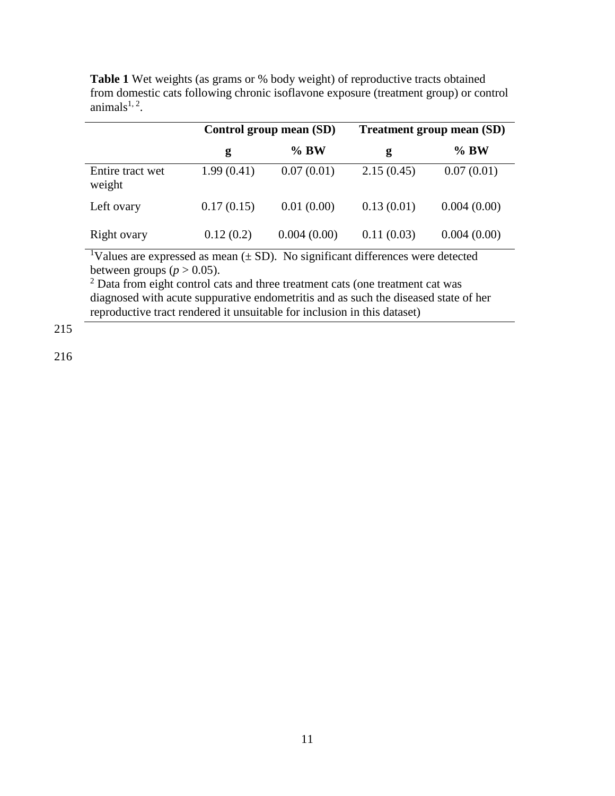**Table 1** Wet weights (as grams or % body weight) of reproductive tracts obtained from domestic cats following chronic isoflavone exposure (treatment group) or control animals $1, 2$ .

|                            |            | Control group mean (SD) | <b>Treatment group mean (SD)</b> |             |  |
|----------------------------|------------|-------------------------|----------------------------------|-------------|--|
|                            | g          | $\%$ BW                 | g                                | $\%$ BW     |  |
| Entire tract wet<br>weight | 1.99(0.41) | 0.07(0.01)              | 2.15(0.45)                       | 0.07(0.01)  |  |
| Left ovary                 | 0.17(0.15) | 0.01(0.00)              | 0.13(0.01)                       | 0.004(0.00) |  |
| Right ovary                | 0.12(0.2)  | 0.004(0.00)             | 0.11(0.03)                       | 0.004(0.00) |  |

<sup>1</sup>Values are expressed as mean  $(\pm SD)$ . No significant differences were detected between groups ( $p > 0.05$ ).

<sup>2</sup> Data from eight control cats and three treatment cats (one treatment cat was diagnosed with acute suppurative endometritis and as such the diseased state of her reproductive tract rendered it unsuitable for inclusion in this dataset)

215